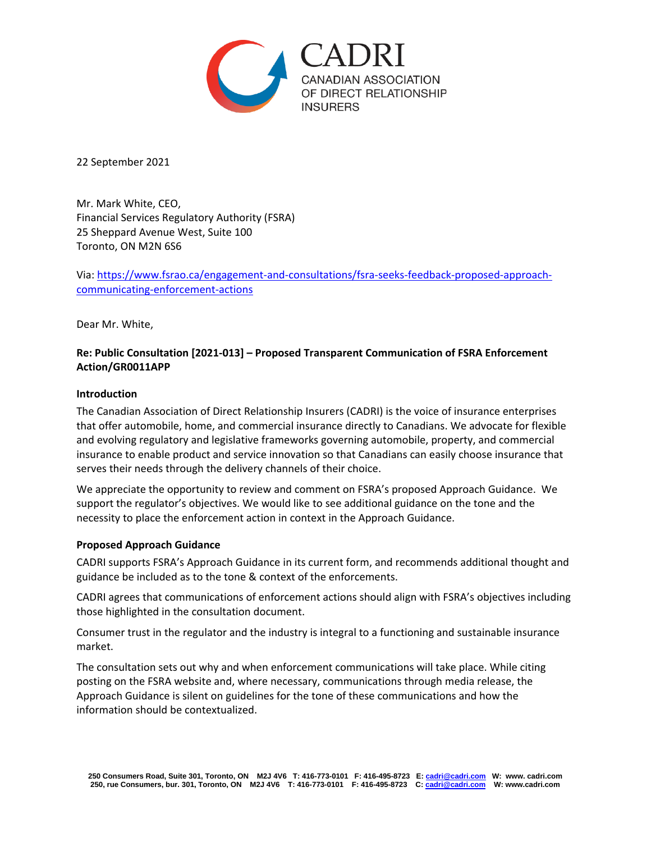

22 September 2021

Mr. Mark White, CEO, Financial Services Regulatory Authority (FSRA) 25 Sheppard Avenue West, Suite 100 Toronto, ON M2N 6S6

Via: [https://www.fsrao.ca/engagement-and-consultations/fsra-seeks-feedback-proposed-approach](https://www.fsrao.ca/engagement-and-consultations/fsra-seeks-feedback-proposed-approach-communicating-enforcement-actions)[communicating-enforcement-actions](https://www.fsrao.ca/engagement-and-consultations/fsra-seeks-feedback-proposed-approach-communicating-enforcement-actions)

Dear Mr. White,

## **Re: Public Consultation [2021-013] – Proposed Transparent Communication of FSRA Enforcement Action/GR0011APP**

## **Introduction**

The Canadian Association of Direct Relationship Insurers (CADRI) is the voice of insurance enterprises that offer automobile, home, and commercial insurance directly to Canadians. We advocate for flexible and evolving regulatory and legislative frameworks governing automobile, property, and commercial insurance to enable product and service innovation so that Canadians can easily choose insurance that serves their needs through the delivery channels of their choice.

We appreciate the opportunity to review and comment on FSRA's proposed Approach Guidance. We support the regulator's objectives. We would like to see additional guidance on the tone and the necessity to place the enforcement action in context in the Approach Guidance.

## **Proposed Approach Guidance**

CADRI supports FSRA's Approach Guidance in its current form, and recommends additional thought and guidance be included as to the tone & context of the enforcements.

CADRI agrees that communications of enforcement actions should align with FSRA's objectives including those highlighted in the consultation document.

Consumer trust in the regulator and the industry is integral to a functioning and sustainable insurance market.

The consultation sets out why and when enforcement communications will take place. While citing posting on the FSRA website and, where necessary, communications through media release, the Approach Guidance is silent on guidelines for the tone of these communications and how the information should be contextualized.